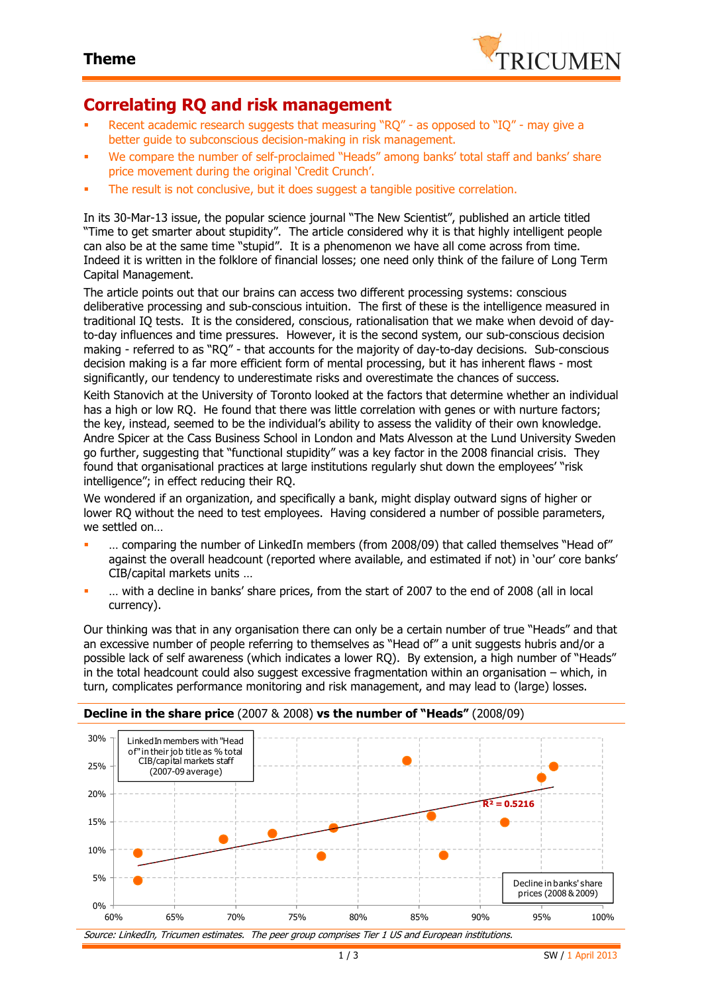

## **Correlating RQ and risk management**

- Recent academic research suggests that measuring "RQ" as opposed to "IQ" may give a better guide to subconscious decision-making in risk management.
- We compare the number of self-proclaimed "Heads" among banks' total staff and banks' share price movement during the original 'Credit Crunch'.
- The result is not conclusive, but it does suggest a tangible positive correlation.

In its 30-Mar-13 issue, the popular science journal "The New Scientist", published an article titled "Time to get smarter about stupidity". The article considered why it is that highly intelligent people can also be at the same time "stupid". It is a phenomenon we have all come across from time. Indeed it is written in the folklore of financial losses; one need only think of the failure of Long Term Capital Management.

The article points out that our brains can access two different processing systems: conscious deliberative processing and sub-conscious intuition. The first of these is the intelligence measured in traditional IQ tests. It is the considered, conscious, rationalisation that we make when devoid of dayto-day influences and time pressures. However, it is the second system, our sub-conscious decision making - referred to as "RQ" - that accounts for the majority of day-to-day decisions. Sub-conscious decision making is a far more efficient form of mental processing, but it has inherent flaws - most significantly, our tendency to underestimate risks and overestimate the chances of success.

Keith Stanovich at the University of Toronto looked at the factors that determine whether an individual has a high or low RO. He found that there was little correlation with genes or with nurture factors; the key, instead, seemed to be the individual's ability to assess the validity of their own knowledge. Andre Spicer at the Cass Business School in London and Mats Alvesson at the Lund University Sweden go further, suggesting that "functional stupidity" was a key factor in the 2008 financial crisis. They found that organisational practices at large institutions regularly shut down the employees' "risk intelligence"; in effect reducing their RQ.

We wondered if an organization, and specifically a bank, might display outward signs of higher or lower RQ without the need to test employees. Having considered a number of possible parameters, we settled on

- … comparing the number of LinkedIn members (from 2008/09) that called themselves "Head of" against the overall headcount (reported where available, and estimated if not) in 'our' core banks' CIB/capital markets units …
- … with a decline in banks' share prices, from the start of 2007 to the end of 2008 (all in local currency).

Our thinking was that in any organisation there can only be a certain number of true "Heads" and that an excessive number of people referring to themselves as "Head of" a unit suggests hubris and/or a possible lack of self awareness (which indicates a lower RQ). By extension, a high number of "Heads" in the total headcount could also suggest excessive fragmentation within an organisation – which, in turn, complicates performance monitoring and risk management, and may lead to (large) losses.

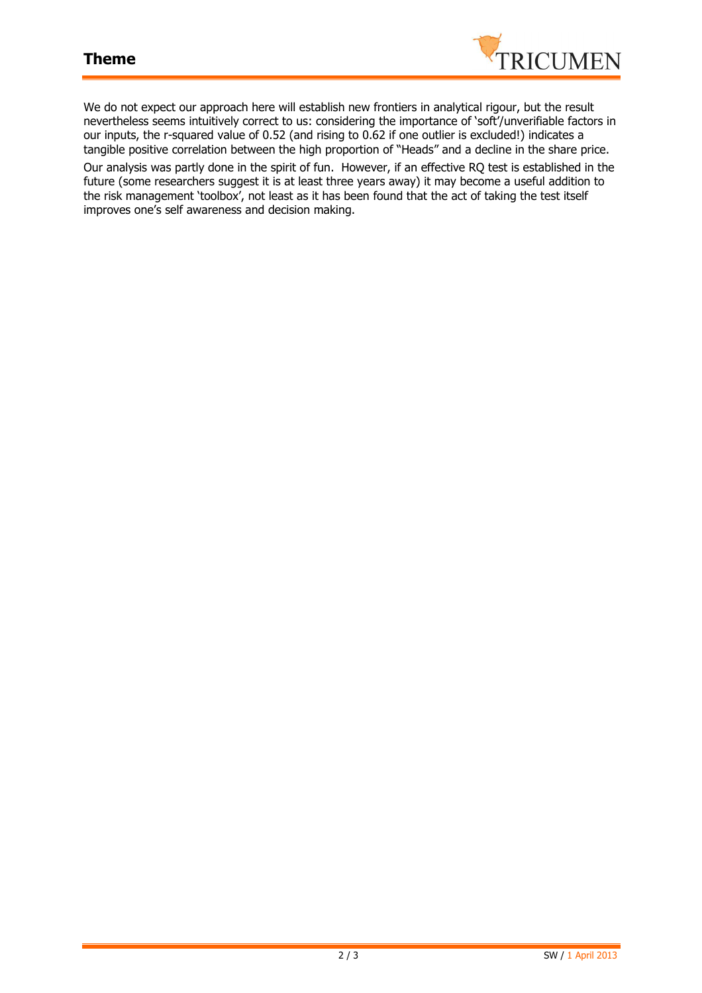

We do not expect our approach here will establish new frontiers in analytical rigour, but the result nevertheless seems intuitively correct to us: considering the importance of 'soft'/unverifiable factors in our inputs, the r-squared value of 0.52 (and rising to 0.62 if one outlier is excluded!) indicates a tangible positive correlation between the high proportion of "Heads" and a decline in the share price.

Our analysis was partly done in the spirit of fun. However, if an effective RQ test is established in the future (some researchers suggest it is at least three years away) it may become a useful addition to the risk management 'toolbox', not least as it has been found that the act of taking the test itself improves one's self awareness and decision making.